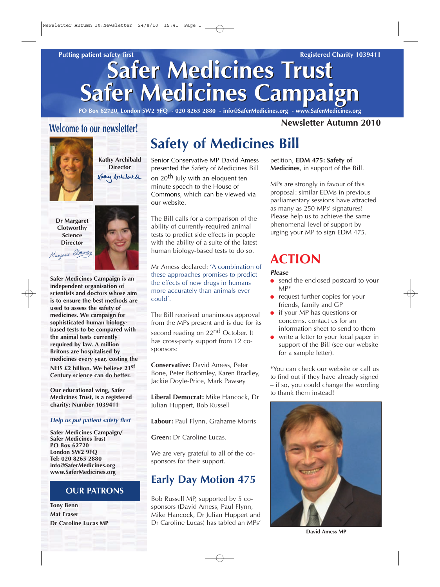# **Safer Medicines Trust Safer Medicines Trust Safer Medicines Campaign Safer Medicines Campaign**

**PO Box 62720, London SW2 9FQ - 020 8265 2880 - info@SaferMedicines.org - www.SaferMedicines.org**

#### **Welcome to our newsletter!**



**Kathy Archibald Director** Kathy Archibald

**Dr Margaret Clotworthy Science Director**



**Safer Medicines Campaign is an independent organisation of scientists and doctors whose aim is to ensure the best methods are used to assess the safety of medicines. We campaign for sophisticated human biologybased tests to be compared with the animal tests currently required by law. A million Britons are hospitalised by medicines every year, costing the NHS £2 billion. We believe 21st Century science can do better.** 

**Our educational wing, Safer Medicines Trust, is a registered charity: Number 1039411**

#### **Help us put patient safety first**

**Safer Medicines Campaign/ Safer Medicines Trust PO Box 62720 London SW2 9FQ Tel: 020 8265 2880 info@SaferMedicines.org www.SaferMedicines.org**

#### **OUR PATRONS**

**Tony Benn Mat Fraser Dr Caroline Lucas MP**

## **Safety of Medicines Bill**

Senior Conservative MP David Amess presented the Safety of Medicines Bill

on 20<sup>th</sup> July with an eloquent ten minute speech to the House of Commons, which can be viewed via our website.

The Bill calls for a comparison of the ability of currently-required animal tests to predict side effects in people with the ability of a suite of the latest human biology-based tests to do so.

Mr Amess declared: 'A combination of these approaches promises to predict the effects of new drugs in humans more accurately than animals ever could'.

The Bill received unanimous approval from the MPs present and is due for its second reading on 22<sup>nd</sup> October. It has cross-party support from 12 cosponsors:

**Conservative:** David Amess, Peter Bone, Peter Bottomley, Karen Bradley, Jackie Doyle-Price, Mark Pawsey

**Liberal Democrat:** Mike Hancock, Dr Julian Huppert, Bob Russell

**Labour:** Paul Flynn, Grahame Morris

**Green:** Dr Caroline Lucas.

We are very grateful to all of the cosponsors for their support.

#### **Early Day Motion 475**

Bob Russell MP, supported by 5 cosponsors (David Amess, Paul Flynn, Mike Hancock, Dr Julian Huppert and Dr Caroline Lucas) has tabled an MPs'

#### **Newsletter Autumn 2010**

petition, **EDM 475: Safety of Medicines**, in support of the Bill.

MPs are strongly in favour of this proposal: similar EDMs in previous parliamentary sessions have attracted as many as 250 MPs' signatures! Please help us to achieve the same phenomenal level of support by urging your MP to sign EDM 475.

## **ACTION**

#### **Please**

- send the enclosed postcard to your MP\*
- request further copies for your friends, family and GP
- if your MP has questions or concerns, contact us for an information sheet to send to them
- write a letter to your local paper in support of the Bill (see our website for a sample letter).

\*You can check our website or call us to find out if they have already signed – if so, you could change the wording to thank them instead!



**David Amess MP**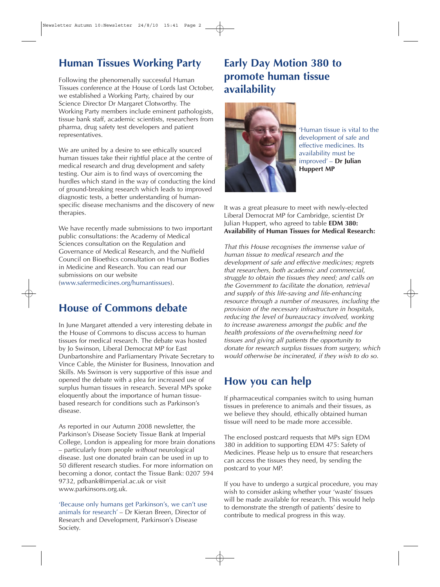### **Human Tissues Working Party**

Following the phenomenally successful Human Tissues conference at the House of Lords last October, we established a Working Party, chaired by our Science Director Dr Margaret Clotworthy. The Working Party members include eminent pathologists, tissue bank staff, academic scientists, researchers from pharma, drug safety test developers and patient representatives.

We are united by a desire to see ethically sourced human tissues take their rightful place at the centre of medical research and drug development and safety testing. Our aim is to find ways of overcoming the hurdles which stand in the way of conducting the kind of ground-breaking research which leads to improved diagnostic tests, a better understanding of humanspecific disease mechanisms and the discovery of new therapies.

We have recently made submissions to two important public consultations: the Academy of Medical Sciences consultation on the Regulation and Governance of Medical Research, and the Nuffield Council on Bioethics consultation on Human Bodies in Medicine and Research. You can read our submissions on our website (www.safermedicines.org/humantissues).

#### **House of Commons debate**

In June Margaret attended a very interesting debate in the House of Commons to discuss access to human tissues for medical research. The debate was hosted by Jo Swinson, Liberal Democrat MP for East Dunbartonshire and Parliamentary Private Secretary to Vince Cable, the Minister for Business, Innovation and Skills. Ms Swinson is very supportive of this issue and opened the debate with a plea for increased use of surplus human tissues in research. Several MPs spoke eloquently about the importance of human tissuebased research for conditions such as Parkinson's disease.

As reported in our Autumn 2008 newsletter, the Parkinson's Disease Society Tissue Bank at Imperial College, London is appealing for more brain donations – particularly from people without neurological disease. Just one donated brain can be used in up to 50 different research studies. For more information on becoming a donor, contact the Tissue Bank: 0207 594 9732, pdbank@imperial.ac.uk or visit www.parkinsons.org.uk.

'Because only humans get Parkinson's, we can't use animals for research' – Dr Kieran Breen, Director of Research and Development, Parkinson's Disease Society.

#### **Early Day Motion 380 to promote human tissue availability**



'Human tissue is vital to the development of safe and effective medicines. Its availability must be improved' – **Dr Julian Huppert MP** 

It was a great pleasure to meet with newly-elected Liberal Democrat MP for Cambridge, scientist Dr Julian Huppert, who agreed to table **EDM 380: Availability of Human Tissues for Medical Research:**

That this House recognises the immense value of human tissue to medical research and the development of safe and effective medicines; regrets that researchers, both academic and commercial, struggle to obtain the tissues they need; and calls on the Government to facilitate the donation, retrieval and supply of this life-saving and life-enhancing resource through a number of measures, including the provision of the necessary infrastructure in hospitals, reducing the level of bureaucracy involved, working to increase awareness amongst the public and the health professions of the overwhelming need for tissues and giving all patients the opportunity to donate for research surplus tissues from surgery, which would otherwise be incinerated, if they wish to do so.

### **How you can help**

If pharmaceutical companies switch to using human tissues in preference to animals and their tissues, as we believe they should, ethically obtained human tissue will need to be made more accessible.

The enclosed postcard requests that MPs sign EDM 380 in addition to supporting EDM 475: Safety of Medicines. Please help us to ensure that researchers can access the tissues they need, by sending the postcard to your MP.

If you have to undergo a surgical procedure, you may wish to consider asking whether your 'waste' tissues will be made available for research. This would help to demonstrate the strength of patients' desire to contribute to medical progress in this way.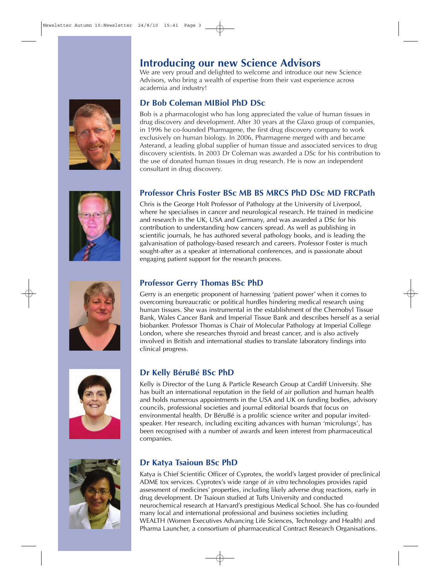









#### **Introducing our new Science Advisors**

We are very proud and delighted to welcome and introduce our new Science Advisors, who bring a wealth of expertise from their vast experience across academia and industry!

#### **Dr Bob Coleman MIBiol PhD DSc**

Bob is a pharmacologist who has long appreciated the value of human tissues in drug discovery and development. After 30 years at the Glaxo group of companies, in 1996 he co-founded Pharmagene, the first drug discovery company to work exclusively on human biology. In 2006, Pharmagene merged with and became Asterand, a leading global supplier of human tissue and associated services to drug discovery scientists. In 2003 Dr Coleman was awarded a DSc for his contribution to the use of donated human tissues in drug research. He is now an independent consultant in drug discovery.

#### **Professor Chris Foster BSc MB BS MRCS PhD DSc MD FRCPath**

Chris is the George Holt Professor of Pathology at the University of Liverpool, where he specialises in cancer and neurological research. He trained in medicine and research in the UK, USA and Germany, and was awarded a DSc for his contribution to understanding how cancers spread. As well as publishing in scientific journals, he has authored several pathology books, and is leading the galvanisation of pathology-based research and careers. Professor Foster is much sought-after as a speaker at international conferences, and is passionate about engaging patient support for the research process.

#### **Professor Gerry Thomas BSc PhD**

Gerry is an energetic proponent of harnessing 'patient power' when it comes to overcoming bureaucratic or political hurdles hindering medical research using human tissues. She was instrumental in the establishment of the Chernobyl Tissue Bank, Wales Cancer Bank and Imperial Tissue Bank and describes herself as a serial biobanker. Professor Thomas is Chair of Molecular Pathology at Imperial College London, where she researches thyroid and breast cancer, and is also actively involved in British and international studies to translate laboratory findings into clinical progress.

#### **Dr Kelly BéruBé BSc PhD**

Kelly is Director of the Lung & Particle Research Group at Cardiff University. She has built an international reputation in the field of air pollution and human health and holds numerous appointments in the USA and UK on funding bodies, advisory councils, professional societies and journal editorial boards that focus on environmental health. Dr BéruBé is a prolific science writer and popular invitedspeaker. Her research, including exciting advances with human 'microlungs', has been recognised with a number of awards and keen interest from pharmaceutical companies.

#### **Dr Katya Tsaioun BSc PhD**

Katya is Chief Scientific Officer of Cyprotex, the world's largest provider of preclinical ADME tox services. Cyprotex's wide range of in vitro technologies provides rapid assessment of medicines' properties, including likely adverse drug reactions, early in drug development. Dr Tsaioun studied at Tufts University and conducted neurochemical research at Harvard's prestigious Medical School. She has co-founded many local and international professional and business societies including WEALTH (Women Executives Advancing Life Sciences, Technology and Health) and Pharma Launcher, a consortium of pharmaceutical Contract Research Organisations.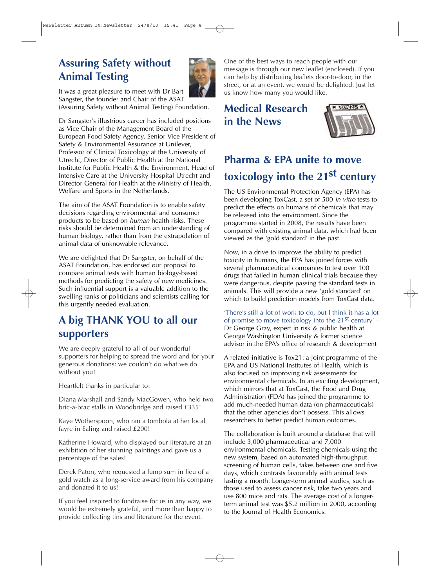### **Assuring Safety without Animal Testing**



It was a great pleasure to meet with Dr Bart Sangster, the founder and Chair of the ASAT

(Assuring Safety without Animal Testing) Foundation.

Dr Sangster's illustrious career has included positions as Vice Chair of the Management Board of the European Food Safety Agency, Senior Vice President of Safety & Environmental Assurance at Unilever, Professor of Clinical Toxicology at the University of Utrecht, Director of Public Health at the National Institute for Public Health & the Environment, Head of Intensive Care at the University Hospital Utrecht and Director General for Health at the Ministry of Health, Welfare and Sports in the Netherlands.

The aim of the ASAT Foundation is to enable safety decisions regarding environmental and consumer products to be based on human health risks. These risks should be determined from an understanding of human biology, rather than from the extrapolation of animal data of unknowable relevance.

We are delighted that Dr Sangster, on behalf of the ASAT Foundation, has endorsed our proposal to compare animal tests with human biology-based methods for predicting the safety of new medicines. Such influential support is a valuable addition to the swelling ranks of politicians and scientists calling for this urgently needed evaluation.

### **A big THANK YOU to all our supporters**

We are deeply grateful to all of our wonderful supporters for helping to spread the word and for your generous donations: we couldn't do what we do without you!

Heartfelt thanks in particular to:

Diana Marshall and Sandy MacGowen, who held two bric-a-brac stalls in Woodbridge and raised £335!

Kaye Wotherspoon, who ran a tombola at her local fayre in Ealing and raised £200!

Katherine Howard, who displayed our literature at an exhibition of her stunning paintings and gave us a percentage of the sales!

Derek Paton, who requested a lump sum in lieu of a gold watch as a long-service award from his company and donated it to us!

If you feel inspired to fundraise for us in any way, we would be extremely grateful, and more than happy to provide collecting tins and literature for the event.

One of the best ways to reach people with our message is through our new leaflet (enclosed). If you can help by distributing leaflets door-to-door, in the street, or at an event, we would be delighted. Just let us know how many you would like.

## **Medical Research in the News**



## **Pharma & EPA unite to move toxicology into the 21st century**

The US Environmental Protection Agency (EPA) has been developing ToxCast, a set of 500 in vitro tests to predict the effects on humans of chemicals that may be released into the environment. Since the programme started in 2008, the results have been compared with existing animal data, which had been viewed as the 'gold standard' in the past.

Now, in a drive to improve the ability to predict toxicity in humans, the EPA has joined forces with several pharmaceutical companies to test over 100 drugs that failed in human clinical trials because they were dangerous, despite passing the standard tests in animals. This will provide a new 'gold standard' on which to build prediction models from ToxCast data.

'There's still a lot of work to do, but I think it has a lot of promise to move toxicology into the  $21^{st}$  century' – Dr George Gray, expert in risk & public health at George Washington University & former science advisor in the EPA's office of research & development

A related initiative is Tox21: a joint programme of the EPA and US National Institutes of Health, which is also focused on improving risk assessments for environmental chemicals. In an exciting development, which mirrors that at ToxCast, the Food and Drug Administration (FDA) has joined the programme to add much-needed human data (on pharmaceuticals) that the other agencies don't possess. This allows researchers to better predict human outcomes.

The collaboration is built around a database that will include 3,000 pharmaceutical and 7,000 environmental chemicals. Testing chemicals using the new system, based on automated high-throughput screening of human cells, takes between one and five days, which contrasts favourably with animal tests lasting a month. Longer-term animal studies, such as those used to assess cancer risk, take two years and use 800 mice and rats. The average cost of a longerterm animal test was \$5.2 million in 2000, according to the Journal of Health Economics.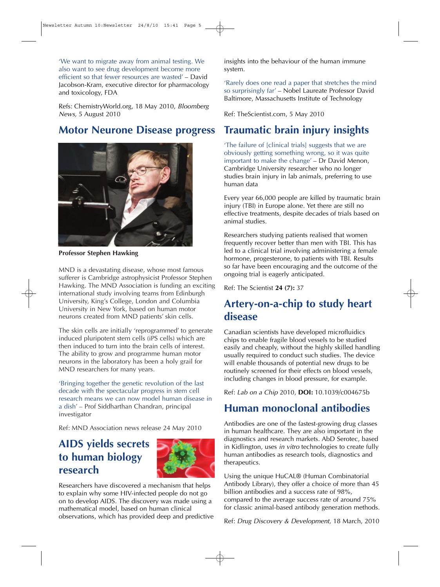'We want to migrate away from animal testing. We also want to see drug development become more efficient so that fewer resources are wasted' – David Jacobson-Kram, executive director for pharmacology and toxicology, FDA

Refs: ChemistryWorld.org, 18 May 2010, Bloomberg News, 5 August 2010

#### **Motor Neurone Disease progress**



**Professor Stephen Hawking** 

MND is a devastating disease, whose most famous sufferer is Cambridge astrophysicist Professor Stephen Hawking. The MND Association is funding an exciting international study involving teams from Edinburgh University, King's College, London and Columbia University in New York, based on human motor neurons created from MND patients' skin cells.

The skin cells are initially 'reprogrammed' to generate induced pluripotent stem cells (iPS cells) which are then induced to turn into the brain cells of interest. The ability to grow and programme human motor neurons in the laboratory has been a holy grail for MND researchers for many years.

'Bringing together the genetic revolution of the last decade with the spectacular progress in stem cell research means we can now model human disease in a dish' – Prof Siddharthan Chandran, principal investigator

Ref: MND Association news release 24 May 2010

#### **AIDS yields secrets to human biology research**



Researchers have discovered a mechanism that helps to explain why some HIV-infected people do not go on to develop AIDS. The discovery was made using a mathematical model, based on human clinical observations, which has provided deep and predictive insights into the behaviour of the human immune system.

'Rarely does one read a paper that stretches the mind so surprisingly far' – Nobel Laureate Professor David Baltimore, Massachusetts Institute of Technology

Ref: TheScientist.com, 5 May 2010

### **Traumatic brain injury insights**

'The failure of [clinical trials] suggests that we are obviously getting something wrong, so it was quite important to make the change' – Dr David Menon, Cambridge University researcher who no longer studies brain injury in lab animals, preferring to use human data

Every year 66,000 people are killed by traumatic brain injury (TBI) in Europe alone. Yet there are still no effective treatments, despite decades of trials based on animal studies.

Researchers studying patients realised that women frequently recover better than men with TBI. This has led to a clinical trial involving administering a female hormone, progesterone, to patients with TBI. Results so far have been encouraging and the outcome of the ongoing trial is eagerly anticipated.

Ref: The Scientist **24 (7):** 37

### **Artery-on-a-chip to study heart disease**

Canadian scientists have developed microfluidics chips to enable fragile blood vessels to be studied easily and cheaply, without the highly skilled handling usually required to conduct such studies. The device will enable thousands of potential new drugs to be routinely screened for their effects on blood vessels, including changes in blood pressure, for example.

Ref: Lab on a Chip 2010, **DOI:** 10.1039/c004675b

### **Human monoclonal antibodies**

Antibodies are one of the fastest-growing drug classes in human healthcare. They are also important in the diagnostics and research markets. AbD Serotec, based in Kidlington, uses in vitro technologies to create fully human antibodies as research tools, diagnostics and therapeutics.

Using the unique HuCAL® (Human Combinatorial Antibody Library), they offer a choice of more than 45 billion antibodies and a success rate of 98%, compared to the average success rate of around 75% for classic animal-based antibody generation methods.

Ref: Drug Discovery & Development, 18 March, 2010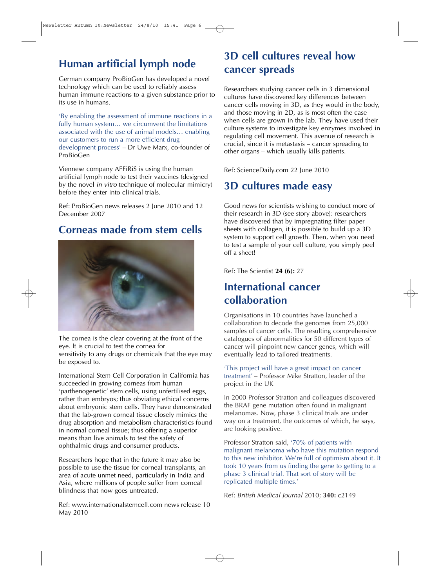## **Human artificial lymph node**

German company ProBioGen has developed a novel technology which can be used to reliably assess human immune reactions to a given substance prior to its use in humans.

'By enabling the assessment of immune reactions in a fully human system… we circumvent the limitations associated with the use of animal models… enabling our customers to run a more efficient drug development process' – Dr Uwe Marx, co-founder of ProBioGen

Viennese company AFFiRiS is using the human artificial lymph node to test their vaccines (designed by the novel *in vitro* technique of molecular mimicry) before they enter into clinical trials.

Ref: ProBioGen news releases 2 June 2010 and 12 December 2007

## **Corneas made from stem cells**



The cornea is the clear covering at the front of the eye. It is crucial to test the cornea for sensitivity to any drugs or chemicals that the eye may be exposed to.

International Stem Cell Corporation in California has succeeded in growing corneas from human 'parthenogenetic' stem cells, using unfertilised eggs, rather than embryos; thus obviating ethical concerns about embryonic stem cells. They have demonstrated that the lab-grown corneal tissue closely mimics the drug absorption and metabolism characteristics found in normal corneal tissue; thus offering a superior means than live animals to test the safety of ophthalmic drugs and consumer products.

Researchers hope that in the future it may also be possible to use the tissue for corneal transplants, an area of acute unmet need, particularly in India and Asia, where millions of people suffer from corneal blindness that now goes untreated.

Ref: www.internationalstemcell.com news release 10 May 2010

## **3D cell cultures reveal how cancer spreads**

Researchers studying cancer cells in 3 dimensional cultures have discovered key differences between cancer cells moving in 3D, as they would in the body, and those moving in 2D, as is most often the case when cells are grown in the lab. They have used their culture systems to investigate key enzymes involved in regulating cell movement. This avenue of research is crucial, since it is metastasis – cancer spreading to other organs – which usually kills patients.

Ref: ScienceDaily.com 22 June 2010

## **3D cultures made easy**

Good news for scientists wishing to conduct more of their research in 3D (see story above): researchers have discovered that by impregnating filter paper sheets with collagen, it is possible to build up a 3D system to support cell growth. Then, when you need to test a sample of your cell culture, you simply peel off a sheet!

Ref: The Scientist **24 (6):** 27

#### **International cancer collaboration**

Organisations in 10 countries have launched a collaboration to decode the genomes from 25,000 samples of cancer cells. The resulting comprehensive catalogues of abnormalities for 50 different types of cancer will pinpoint new cancer genes, which will eventually lead to tailored treatments.

'This project will have a great impact on cancer treatment' – Professor Mike Stratton, leader of the project in the UK

In 2000 Professor Stratton and colleagues discovered the BRAF gene mutation often found in malignant melanomas. Now, phase 3 clinical trials are under way on a treatment, the outcomes of which, he says, are looking positive.

Professor Stratton said, '70% of patients with malignant melanoma who have this mutation respond to this new inhibitor. We're full of optimism about it. It took 10 years from us finding the gene to getting to a phase 3 clinical trial. That sort of story will be replicated multiple times.'

Ref: British Medical Journal 2010; **340:** c2149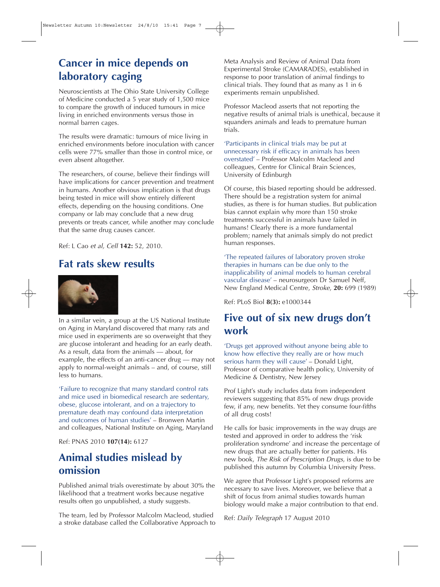## **Cancer in mice depends on laboratory caging**

Neuroscientists at The Ohio State University College of Medicine conducted a 5 year study of 1,500 mice to compare the growth of induced tumours in mice living in enriched environments versus those in normal barren cages.

The results were dramatic: tumours of mice living in enriched environments before inoculation with cancer cells were 77% smaller than those in control mice, or even absent altogether.

The researchers, of course, believe their findings will have implications for cancer prevention and treatment in humans. Another obvious implication is that drugs being tested in mice will show entirely different effects, depending on the housing conditions. One company or lab may conclude that a new drug prevents or treats cancer, while another may conclude that the same drug causes cancer.

Ref: L Cao et al, Cell **142:** 52, 2010.

### **Fat rats skew results**



In a similar vein, a group at the US National Institute on Aging in Maryland discovered that many rats and mice used in experiments are so overweight that they are glucose intolerant and heading for an early death. As a result, data from the animals — about, for example, the effects of an anti-cancer drug — may not apply to normal-weight animals – and, of course, still less to humans.

'Failure to recognize that many standard control rats and mice used in biomedical research are sedentary, obese, glucose intolerant, and on a trajectory to premature death may confound data interpretation and outcomes of human studies' – Bronwen Martin and colleagues, National Institute on Aging, Maryland

Ref: PNAS 2010 **107(14):** 6127

#### **Animal studies mislead by omission**

Published animal trials overestimate by about 30% the likelihood that a treatment works because negative results often go unpublished, a study suggests.

The team, led by Professor Malcolm Macleod, studied a stroke database called the Collaborative Approach to Meta Analysis and Review of Animal Data from Experimental Stroke (CAMARADES), established in response to poor translation of animal findings to clinical trials. They found that as many as 1 in 6 experiments remain unpublished.

Professor Macleod asserts that not reporting the negative results of animal trials is unethical, because it squanders animals and leads to premature human trials.

'Participants in clinical trials may be put at unnecessary risk if efficacy in animals has been overstated' – Professor Malcolm Macleod and colleagues, Centre for Clinical Brain Sciences, University of Edinburgh

Of course, this biased reporting should be addressed. There should be a registration system for animal studies, as there is for human studies. But publication bias cannot explain why more than 150 stroke treatments successful in animals have failed in humans! Clearly there is a more fundamental problem; namely that animals simply do not predict human responses.

'The repeated failures of laboratory proven stroke therapies in humans can be due only to the inapplicability of animal models to human cerebral vascular disease' – neurosurgeon Dr Samuel Neff, New England Medical Centre, Stroke, **20:** 699 (1989)

Ref: PLoS Biol **8(3):** e1000344

#### **Five out of six new drugs don't work**

'Drugs get approved without anyone being able to know how effective they really are or how much serious harm they will cause' – Donald Light, Professor of comparative health policy, University of Medicine & Dentistry, New Jersey

Prof Light's study includes data from independent reviewers suggesting that 85% of new drugs provide few, if any, new benefits. Yet they consume four-fifths of all drug costs!

He calls for basic improvements in the way drugs are tested and approved in order to address the 'risk proliferation syndrome' and increase the percentage of new drugs that are actually better for patients. His new book, The Risk of Prescription Drugs, is due to be published this autumn by Columbia University Press.

We agree that Professor Light's proposed reforms are necessary to save lives. Moreover, we believe that a shift of focus from animal studies towards human biology would make a major contribution to that end.

Ref: Daily Telegraph 17 August 2010